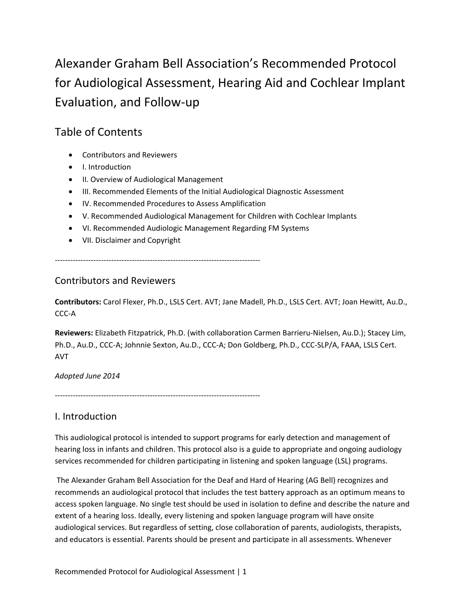Alexander Graham Bell Association's Recommended Protocol for Audiological Assessment, Hearing Aid and Cochlear Implant Evaluation, and Follow‐up

# Table of Contents

- Contributors and Reviewers
- I. Introduction
- II. Overview of Audiological Management
- III. Recommended Elements of the Initial Audiological Diagnostic Assessment
- IV. Recommended Procedures to Assess Amplification
- V. Recommended Audiological Management for Children with Cochlear Implants
- VI. Recommended Audiologic Management Regarding FM Systems
- VII. Disclaimer and Copyright

‐‐‐‐‐‐‐‐‐‐‐‐‐‐‐‐‐‐‐‐‐‐‐‐‐‐‐‐‐‐‐‐‐‐‐‐‐‐‐‐‐‐‐‐‐‐‐‐‐‐‐‐‐‐‐‐‐‐‐‐‐‐‐‐‐‐‐‐‐‐‐‐‐‐‐‐‐‐‐‐

### Contributors and Reviewers

**Contributors:** Carol Flexer, Ph.D., LSLS Cert. AVT; Jane Madell, Ph.D., LSLS Cert. AVT; Joan Hewitt, Au.D., CCC‐A

**Reviewers:** Elizabeth Fitzpatrick, Ph.D. (with collaboration Carmen Barrieru‐Nielsen, Au.D.); Stacey Lim, Ph.D., Au.D., CCC‐A; Johnnie Sexton, Au.D., CCC‐A; Don Goldberg, Ph.D., CCC‐SLP/A, FAAA, LSLS Cert. AVT

*Adopted June 2014*

‐‐‐‐‐‐‐‐‐‐‐‐‐‐‐‐‐‐‐‐‐‐‐‐‐‐‐‐‐‐‐‐‐‐‐‐‐‐‐‐‐‐‐‐‐‐‐‐‐‐‐‐‐‐‐‐‐‐‐‐‐‐‐‐‐‐‐‐‐‐‐‐‐‐‐‐‐‐‐‐

## I. Introduction

This audiological protocol is intended to support programs for early detection and management of hearing loss in infants and children. This protocol also is a guide to appropriate and ongoing audiology services recommended for children participating in listening and spoken language (LSL) programs.

The Alexander Graham Bell Association for the Deaf and Hard of Hearing (AG Bell) recognizes and recommends an audiological protocol that includes the test battery approach as an optimum means to access spoken language. No single test should be used in isolation to define and describe the nature and extent of a hearing loss. Ideally, every listening and spoken language program will have onsite audiological services. But regardless of setting, close collaboration of parents, audiologists, therapists, and educators is essential. Parents should be present and participate in all assessments. Whenever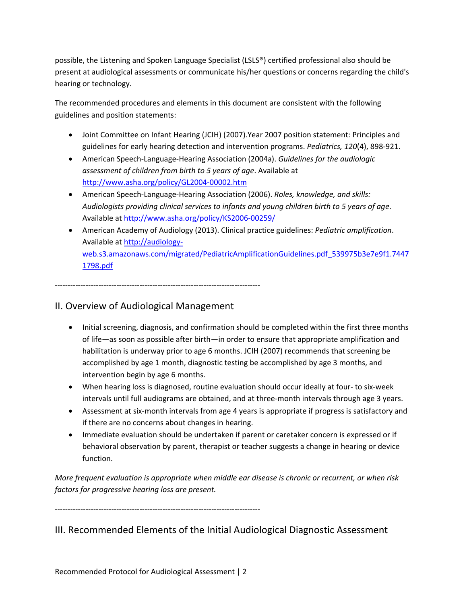possible, the Listening and Spoken Language Specialist (LSLS®) certified professional also should be present at audiological assessments or communicate his/her questions or concerns regarding the child's hearing or technology.

The recommended procedures and elements in this document are consistent with the following guidelines and position statements:

- Joint Committee on Infant Hearing (JCIH) (2007).Year 2007 position statement: Principles and guidelines for early hearing detection and intervention programs. *Pediatrics, 120*(4), 898‐921.
- American Speech‐Language‐Hearing Association (2004a). *Guidelines for the audiologic assessment of children from birth to 5 years of age*. Available at http://www.asha.org/policy/GL2004‐00002.htm
- American Speech‐Language‐Hearing Association (2006). *Roles, knowledge, and skills: Audiologists providing clinical services to infants and young children birth to 5 years of age*. Available at http://www.asha.org/policy/KS2006‐00259/
- American Academy of Audiology (2013). Clinical practice guidelines: *Pediatric amplification*. Available at http://audiologyweb.s3.amazonaws.com/migrated/PediatricAmplificationGuidelines.pdf\_539975b3e7e9f1.7447 1798.pdf

‐‐‐‐‐‐‐‐‐‐‐‐‐‐‐‐‐‐‐‐‐‐‐‐‐‐‐‐‐‐‐‐‐‐‐‐‐‐‐‐‐‐‐‐‐‐‐‐‐‐‐‐‐‐‐‐‐‐‐‐‐‐‐‐‐‐‐‐‐‐‐‐‐‐‐‐‐‐‐‐

## II. Overview of Audiological Management

- Initial screening, diagnosis, and confirmation should be completed within the first three months of life—as soon as possible after birth—in order to ensure that appropriate amplification and habilitation is underway prior to age 6 months. JCIH (2007) recommends that screening be accomplished by age 1 month, diagnostic testing be accomplished by age 3 months, and intervention begin by age 6 months.
- When hearing loss is diagnosed, routine evaluation should occur ideally at four-to six-week intervals until full audiograms are obtained, and at three-month intervals through age 3 years.
- Assessment at six‐month intervals from age 4 years is appropriate if progress is satisfactory and if there are no concerns about changes in hearing.
- Immediate evaluation should be undertaken if parent or caretaker concern is expressed or if behavioral observation by parent, therapist or teacher suggests a change in hearing or device function.

*More frequent evaluation is appropriate when middle ear disease is chronic or recurrent, or when risk factors for progressive hearing loss are present.* 

‐‐‐‐‐‐‐‐‐‐‐‐‐‐‐‐‐‐‐‐‐‐‐‐‐‐‐‐‐‐‐‐‐‐‐‐‐‐‐‐‐‐‐‐‐‐‐‐‐‐‐‐‐‐‐‐‐‐‐‐‐‐‐‐‐‐‐‐‐‐‐‐‐‐‐‐‐‐‐‐

# III. Recommended Elements of the Initial Audiological Diagnostic Assessment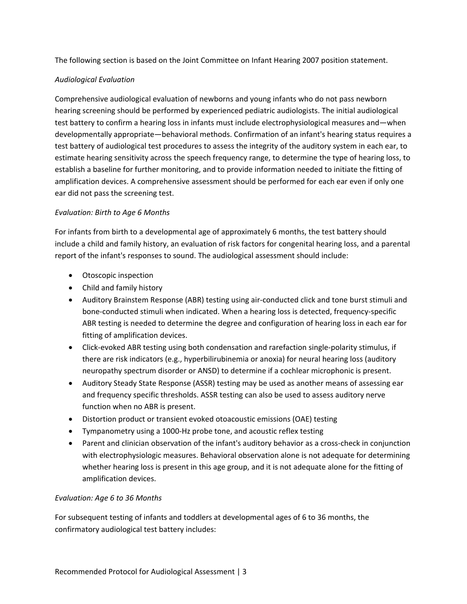The following section is based on the Joint Committee on Infant Hearing 2007 position statement.

#### *Audiological Evaluation*

Comprehensive audiological evaluation of newborns and young infants who do not pass newborn hearing screening should be performed by experienced pediatric audiologists. The initial audiological test battery to confirm a hearing loss in infants must include electrophysiological measures and—when developmentally appropriate—behavioral methods. Confirmation of an infant's hearing status requires a test battery of audiological test procedures to assess the integrity of the auditory system in each ear, to estimate hearing sensitivity across the speech frequency range, to determine the type of hearing loss, to establish a baseline for further monitoring, and to provide information needed to initiate the fitting of amplification devices. A comprehensive assessment should be performed for each ear even if only one ear did not pass the screening test.

#### *Evaluation: Birth to Age 6 Months*

For infants from birth to a developmental age of approximately 6 months, the test battery should include a child and family history, an evaluation of risk factors for congenital hearing loss, and a parental report of the infant's responses to sound. The audiological assessment should include:

- Otoscopic inspection
- Child and family history
- Auditory Brainstem Response (ABR) testing using air-conducted click and tone burst stimuli and bone-conducted stimuli when indicated. When a hearing loss is detected, frequency-specific ABR testing is needed to determine the degree and configuration of hearing loss in each ear for fitting of amplification devices.
- Click-evoked ABR testing using both condensation and rarefaction single-polarity stimulus, if there are risk indicators (e.g., hyperbilirubinemia or anoxia) for neural hearing loss (auditory neuropathy spectrum disorder or ANSD) to determine if a cochlear microphonic is present.
- Auditory Steady State Response (ASSR) testing may be used as another means of assessing ear and frequency specific thresholds. ASSR testing can also be used to assess auditory nerve function when no ABR is present.
- Distortion product or transient evoked otoacoustic emissions (OAE) testing
- Tympanometry using a 1000‐Hz probe tone, and acoustic reflex testing
- Parent and clinician observation of the infant's auditory behavior as a cross-check in conjunction with electrophysiologic measures. Behavioral observation alone is not adequate for determining whether hearing loss is present in this age group, and it is not adequate alone for the fitting of amplification devices.

#### *Evaluation: Age 6 to 36 Months*

For subsequent testing of infants and toddlers at developmental ages of 6 to 36 months, the confirmatory audiological test battery includes: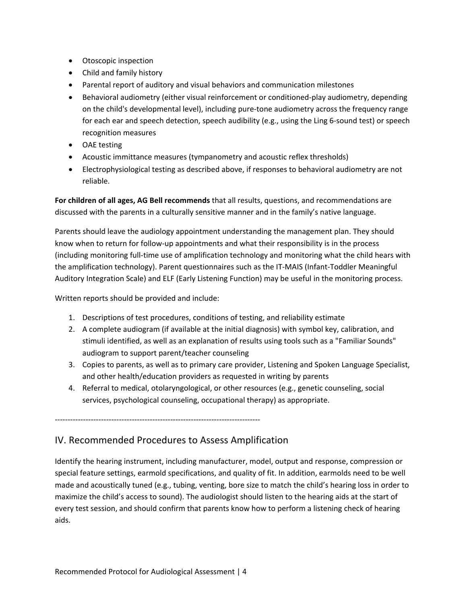- Otoscopic inspection
- Child and family history
- Parental report of auditory and visual behaviors and communication milestones
- Behavioral audiometry (either visual reinforcement or conditioned-play audiometry, depending on the child's developmental level), including pure‐tone audiometry across the frequency range for each ear and speech detection, speech audibility (e.g., using the Ling 6-sound test) or speech recognition measures
- OAE testing
- Acoustic immittance measures (tympanometry and acoustic reflex thresholds)
- Electrophysiological testing as described above, if responses to behavioral audiometry are not reliable.

**For children of all ages, AG Bell recommends** that all results, questions, and recommendations are discussed with the parents in a culturally sensitive manner and in the family's native language.

Parents should leave the audiology appointment understanding the management plan. They should know when to return for follow‐up appointments and what their responsibility is in the process (including monitoring full‐time use of amplification technology and monitoring what the child hears with the amplification technology). Parent questionnaires such as the IT‐MAIS (Infant‐Toddler Meaningful Auditory Integration Scale) and ELF (Early Listening Function) may be useful in the monitoring process.

Written reports should be provided and include:

- 1. Descriptions of test procedures, conditions of testing, and reliability estimate
- 2. A complete audiogram (if available at the initial diagnosis) with symbol key, calibration, and stimuli identified, as well as an explanation of results using tools such as a "Familiar Sounds" audiogram to support parent/teacher counseling
- 3. Copies to parents, as well as to primary care provider, Listening and Spoken Language Specialist, and other health/education providers as requested in writing by parents
- 4. Referral to medical, otolaryngological, or other resources (e.g., genetic counseling, social services, psychological counseling, occupational therapy) as appropriate.

‐‐‐‐‐‐‐‐‐‐‐‐‐‐‐‐‐‐‐‐‐‐‐‐‐‐‐‐‐‐‐‐‐‐‐‐‐‐‐‐‐‐‐‐‐‐‐‐‐‐‐‐‐‐‐‐‐‐‐‐‐‐‐‐‐‐‐‐‐‐‐‐‐‐‐‐‐‐‐‐

## IV. Recommended Procedures to Assess Amplification

Identify the hearing instrument, including manufacturer, model, output and response, compression or special feature settings, earmold specifications, and quality of fit. In addition, earmolds need to be well made and acoustically tuned (e.g., tubing, venting, bore size to match the child's hearing loss in order to maximize the child's access to sound). The audiologist should listen to the hearing aids at the start of every test session, and should confirm that parents know how to perform a listening check of hearing aids.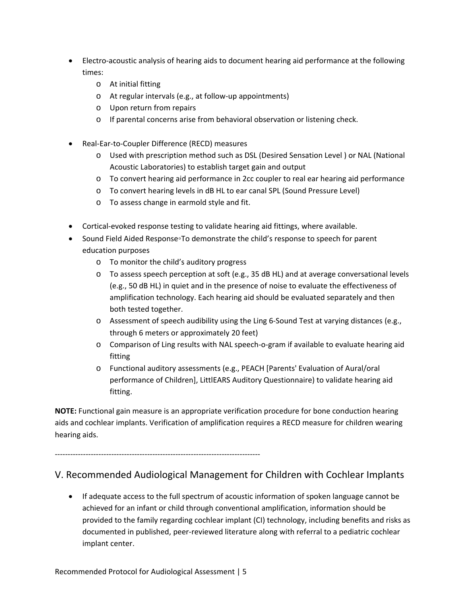- Electro-acoustic analysis of hearing aids to document hearing aid performance at the following times:
	- o At initial fitting
	- o At regular intervals (e.g., at follow‐up appointments)
	- o Upon return from repairs
	- o If parental concerns arise from behavioral observation or listening check.
- Real‐Ear‐to‐Coupler Difference (RECD) measures
	- o Used with prescription method such as DSL (Desired Sensation Level ) or NAL (National Acoustic Laboratories) to establish target gain and output
	- o To convert hearing aid performance in 2cc coupler to real ear hearing aid performance
	- o To convert hearing levels in dB HL to ear canal SPL (Sound Pressure Level)
	- o To assess change in earmold style and fit.
- Cortical-evoked response testing to validate hearing aid fittings, where available.
- Sound Field Aided Response∘To demonstrate the child's response to speech for parent education purposes
	- o To monitor the child's auditory progress
	- o To assess speech perception at soft (e.g., 35 dB HL) and at average conversational levels (e.g., 50 dB HL) in quiet and in the presence of noise to evaluate the effectiveness of amplification technology. Each hearing aid should be evaluated separately and then both tested together.
	- o Assessment of speech audibility using the Ling 6‐Sound Test at varying distances (e.g., through 6 meters or approximately 20 feet)
	- o Comparison of Ling results with NAL speech‐o‐gram if available to evaluate hearing aid fitting
	- o Functional auditory assessments (e.g., PEACH [Parents' Evaluation of Aural/oral performance of Children], LittlEARS Auditory Questionnaire) to validate hearing aid fitting.

**NOTE:** Functional gain measure is an appropriate verification procedure for bone conduction hearing aids and cochlear implants. Verification of amplification requires a RECD measure for children wearing hearing aids.

‐‐‐‐‐‐‐‐‐‐‐‐‐‐‐‐‐‐‐‐‐‐‐‐‐‐‐‐‐‐‐‐‐‐‐‐‐‐‐‐‐‐‐‐‐‐‐‐‐‐‐‐‐‐‐‐‐‐‐‐‐‐‐‐‐‐‐‐‐‐‐‐‐‐‐‐‐‐‐‐

# V. Recommended Audiological Management for Children with Cochlear Implants

• If adequate access to the full spectrum of acoustic information of spoken language cannot be achieved for an infant or child through conventional amplification, information should be provided to the family regarding cochlear implant (CI) technology, including benefits and risks as documented in published, peer‐reviewed literature along with referral to a pediatric cochlear implant center.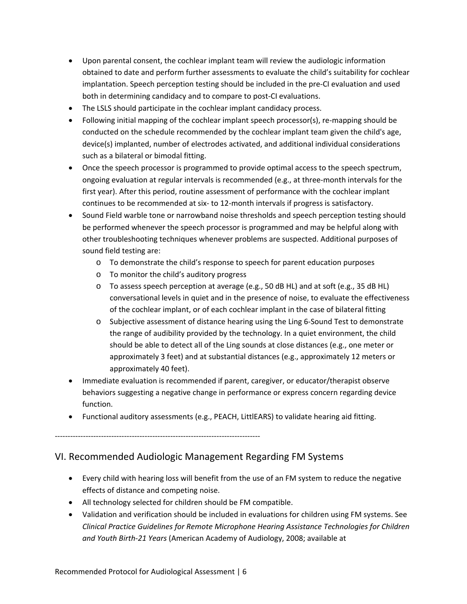- Upon parental consent, the cochlear implant team will review the audiologic information obtained to date and perform further assessments to evaluate the child's suitability for cochlear implantation. Speech perception testing should be included in the pre‐CI evaluation and used both in determining candidacy and to compare to post‐CI evaluations.
- The LSLS should participate in the cochlear implant candidacy process.
- Following initial mapping of the cochlear implant speech processor(s), re‐mapping should be conducted on the schedule recommended by the cochlear implant team given the child's age, device(s) implanted, number of electrodes activated, and additional individual considerations such as a bilateral or bimodal fitting.
- Once the speech processor is programmed to provide optimal access to the speech spectrum, ongoing evaluation at regular intervals is recommended (e.g., at three‐month intervals for the first year). After this period, routine assessment of performance with the cochlear implant continues to be recommended at six‐ to 12‐month intervals if progress is satisfactory.
- Sound Field warble tone or narrowband noise thresholds and speech perception testing should be performed whenever the speech processor is programmed and may be helpful along with other troubleshooting techniques whenever problems are suspected. Additional purposes of sound field testing are:
	- o To demonstrate the child's response to speech for parent education purposes
	- o To monitor the child's auditory progress
	- o To assess speech perception at average (e.g., 50 dB HL) and at soft (e.g., 35 dB HL) conversational levels in quiet and in the presence of noise, to evaluate the effectiveness of the cochlear implant, or of each cochlear implant in the case of bilateral fitting
	- o Subjective assessment of distance hearing using the Ling 6‐Sound Test to demonstrate the range of audibility provided by the technology. In a quiet environment, the child should be able to detect all of the Ling sounds at close distances (e.g., one meter or approximately 3 feet) and at substantial distances (e.g., approximately 12 meters or approximately 40 feet).
- Immediate evaluation is recommended if parent, caregiver, or educator/therapist observe behaviors suggesting a negative change in performance or express concern regarding device function.
- Functional auditory assessments (e.g., PEACH, LittlEARS) to validate hearing aid fitting.

‐‐‐‐‐‐‐‐‐‐‐‐‐‐‐‐‐‐‐‐‐‐‐‐‐‐‐‐‐‐‐‐‐‐‐‐‐‐‐‐‐‐‐‐‐‐‐‐‐‐‐‐‐‐‐‐‐‐‐‐‐‐‐‐‐‐‐‐‐‐‐‐‐‐‐‐‐‐‐‐

## VI. Recommended Audiologic Management Regarding FM Systems

- Every child with hearing loss will benefit from the use of an FM system to reduce the negative effects of distance and competing noise.
- All technology selected for children should be FM compatible.
- Validation and verification should be included in evaluations for children using FM systems. See *Clinical Practice Guidelines for Remote Microphone Hearing Assistance Technologies for Children and Youth Birth‐21 Years* (American Academy of Audiology, 2008; available at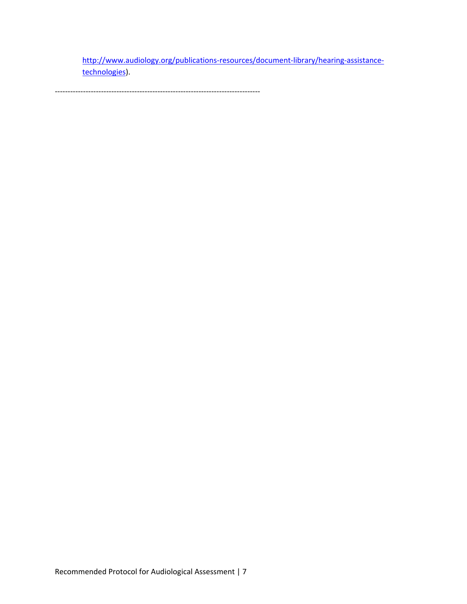http://www.audiology.org/publications‐resources/document‐library/hearing‐assistance‐ technologies).

‐‐‐‐‐‐‐‐‐‐‐‐‐‐‐‐‐‐‐‐‐‐‐‐‐‐‐‐‐‐‐‐‐‐‐‐‐‐‐‐‐‐‐‐‐‐‐‐‐‐‐‐‐‐‐‐‐‐‐‐‐‐‐‐‐‐‐‐‐‐‐‐‐‐‐‐‐‐‐‐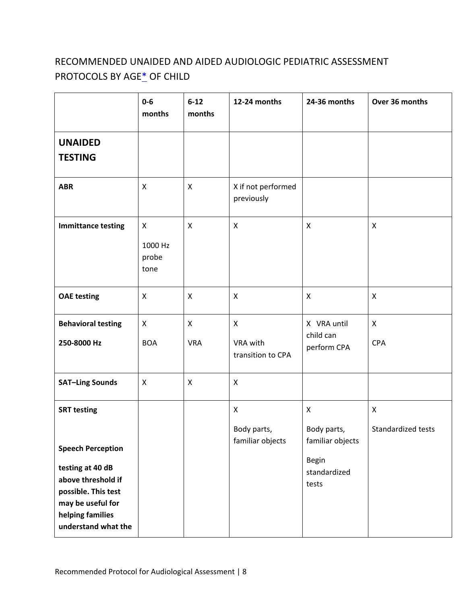# RECOMMENDED UNAIDED AND AIDED AUDIOLOGIC PEDIATRIC ASSESSMENT PROTOCOLS BY AGE\* OF CHILD

|                                                                                                                                                                                 | $0-6$<br>months               | $6 - 12$<br>months         | 12-24 months                                  | 24-36 months                                                           | Over 36 months             |  |
|---------------------------------------------------------------------------------------------------------------------------------------------------------------------------------|-------------------------------|----------------------------|-----------------------------------------------|------------------------------------------------------------------------|----------------------------|--|
| <b>UNAIDED</b><br><b>TESTING</b>                                                                                                                                                |                               |                            |                                               |                                                                        |                            |  |
| <b>ABR</b>                                                                                                                                                                      | X                             | $\pmb{\times}$             | X if not performed<br>previously              |                                                                        |                            |  |
| <b>Immittance testing</b>                                                                                                                                                       | X<br>1000 Hz<br>probe<br>tone | $\mathsf{x}$               | $\boldsymbol{\mathsf{X}}$                     | X                                                                      | X                          |  |
| <b>OAE testing</b>                                                                                                                                                              | X                             | $\pmb{\times}$             | X                                             | X                                                                      | X                          |  |
| <b>Behavioral testing</b><br>250-8000 Hz                                                                                                                                        | X<br><b>BOA</b>               | $\mathsf{X}$<br><b>VRA</b> | $\mathsf{X}$<br>VRA with<br>transition to CPA | X VRA until<br>child can<br>perform CPA                                | $\mathsf{X}$<br><b>CPA</b> |  |
| <b>SAT-Ling Sounds</b>                                                                                                                                                          | X                             | $\pmb{\mathsf{X}}$         | $\pmb{\times}$                                |                                                                        |                            |  |
| <b>SRT testing</b><br><b>Speech Perception</b><br>testing at 40 dB<br>above threshold if<br>possible. This test<br>may be useful for<br>helping families<br>understand what the |                               |                            | X<br>Body parts,<br>familiar objects          | X<br>Body parts,<br>familiar objects<br>Begin<br>standardized<br>tests | X<br>Standardized tests    |  |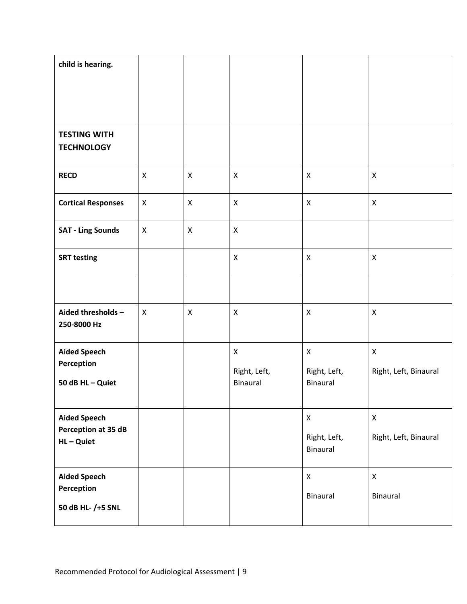| child is hearing.                                      |                           |                    |                                                       |                                                       |                                             |
|--------------------------------------------------------|---------------------------|--------------------|-------------------------------------------------------|-------------------------------------------------------|---------------------------------------------|
| <b>TESTING WITH</b><br><b>TECHNOLOGY</b>               |                           |                    |                                                       |                                                       |                                             |
| <b>RECD</b>                                            | X                         | $\pmb{\times}$     | $\pmb{\times}$                                        | $\boldsymbol{\mathsf{X}}$                             | X                                           |
| <b>Cortical Responses</b>                              | X                         | $\pmb{\mathsf{X}}$ | $\pmb{\times}$                                        | $\boldsymbol{\mathsf{X}}$                             | $\pmb{\times}$                              |
| <b>SAT - Ling Sounds</b>                               | $\mathsf{X}$              | $\pmb{\times}$     | $\pmb{\times}$                                        |                                                       |                                             |
| <b>SRT testing</b>                                     |                           |                    | X                                                     | $\boldsymbol{\mathsf{X}}$                             | X                                           |
|                                                        |                           |                    |                                                       |                                                       |                                             |
| Aided thresholds -<br>250-8000 Hz                      | $\boldsymbol{\mathsf{X}}$ | $\pmb{\mathsf{X}}$ | X                                                     | X                                                     | X                                           |
| <b>Aided Speech</b><br>Perception<br>50 dB HL - Quiet  |                           |                    | $\pmb{\mathsf{X}}$<br>Right, Left,<br><b>Binaural</b> | $\mathsf{X}$<br>Right, Left,<br><b>Binaural</b>       | $\pmb{\mathsf{X}}$<br>Right, Left, Binaural |
| <b>Aided Speech</b><br>Perception at 35 dB<br>HL-Quiet |                           |                    |                                                       | $\pmb{\mathsf{X}}$<br>Right, Left,<br><b>Binaural</b> | $\pmb{\mathsf{X}}$<br>Right, Left, Binaural |
| <b>Aided Speech</b><br>Perception<br>50 dB HL- /+5 SNL |                           |                    |                                                       | $\pmb{\mathsf{X}}$<br>Binaural                        | $\pmb{\mathsf{X}}$<br>Binaural              |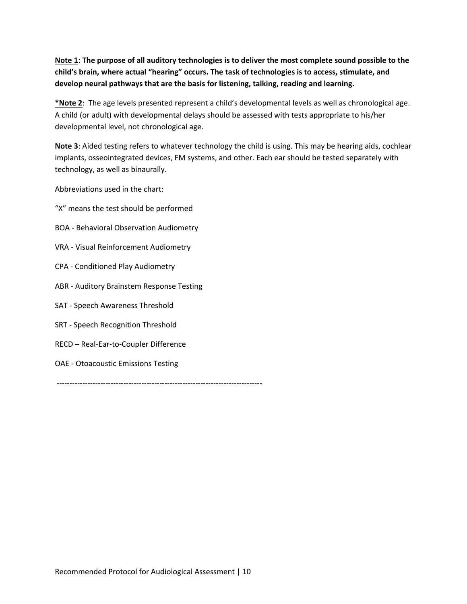Note 1: The purpose of all auditory technologies is to deliver the most complete sound possible to the **child's brain, where actual "hearing" occurs. The task of technologies is to access, stimulate, and develop neural pathways that are the basis for listening, talking, reading and learning.**

**\*Note 2**: The age levels presented represent a child's developmental levels as well as chronological age. A child (or adult) with developmental delays should be assessed with tests appropriate to his/her developmental level, not chronological age.

**Note 3**: Aided testing refers to whatever technology the child is using. This may be hearing aids, cochlear implants, osseointegrated devices, FM systems, and other. Each ear should be tested separately with technology, as well as binaurally.

Abbreviations used in the chart:

- "X" means the test should be performed
- BOA ‐ Behavioral Observation Audiometry
- VRA ‐ Visual Reinforcement Audiometry
- CPA ‐ Conditioned Play Audiometry
- ABR ‐ Auditory Brainstem Response Testing
- SAT ‐ Speech Awareness Threshold
- SRT ‐ Speech Recognition Threshold
- RECD Real‐Ear‐to‐Coupler Difference
- OAE ‐ Otoacoustic Emissions Testing

‐‐‐‐‐‐‐‐‐‐‐‐‐‐‐‐‐‐‐‐‐‐‐‐‐‐‐‐‐‐‐‐‐‐‐‐‐‐‐‐‐‐‐‐‐‐‐‐‐‐‐‐‐‐‐‐‐‐‐‐‐‐‐‐‐‐‐‐‐‐‐‐‐‐‐‐‐‐‐‐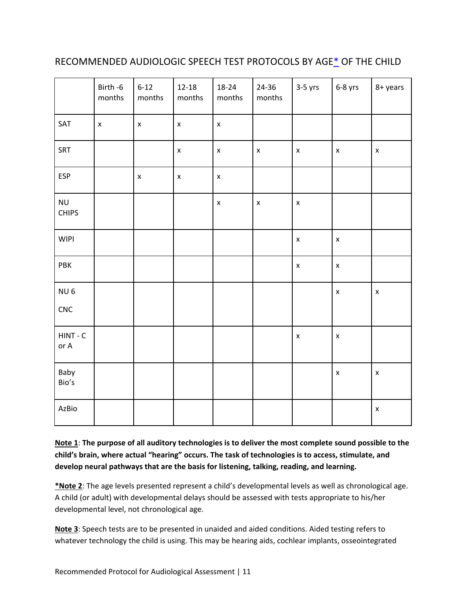# RECOMMENDED AUDIOLOGIC SPEECH TEST PROTOCOLS BY AGE\* OF THE CHILD

|                           | Birth -6<br>months | $6 - 12$<br>months | $12 - 18$<br>months | 18-24<br>months    | 24-36<br>months    | $3-5$ yrs          | $6-8$ yrs          | 8+ years           |
|---------------------------|--------------------|--------------------|---------------------|--------------------|--------------------|--------------------|--------------------|--------------------|
| SAT                       | $\pmb{\mathsf{x}}$ | $\pmb{\mathsf{x}}$ | $\pmb{\times}$      | $\pmb{\times}$     |                    |                    |                    |                    |
| SRT                       |                    |                    | $\pmb{\mathsf{X}}$  | $\pmb{\mathsf{x}}$ | $\pmb{\mathsf{x}}$ | $\pmb{\times}$     | $\pmb{\mathsf{X}}$ | $\pmb{\mathsf{X}}$ |
| <b>ESP</b>                |                    | $\pmb{\mathsf{X}}$ | $\pmb{\mathsf{x}}$  | $\pmb{\mathsf{x}}$ |                    |                    |                    |                    |
| <b>NU</b><br><b>CHIPS</b> |                    |                    |                     | $\pmb{\mathsf{x}}$ | $\pmb{\times}$     | $\pmb{\times}$     |                    |                    |
| <b>WIPI</b>               |                    |                    |                     |                    |                    | $\pmb{\times}$     | $\pmb{\mathsf{x}}$ |                    |
| PBK                       |                    |                    |                     |                    |                    | $\pmb{\mathsf{X}}$ | $\pmb{\mathsf{x}}$ |                    |
| NU <sub>6</sub>           |                    |                    |                     |                    |                    |                    | $\pmb{\mathsf{x}}$ | $\pmb{\mathsf{X}}$ |
| ${\sf CNC}$               |                    |                    |                     |                    |                    |                    |                    |                    |
| $HINT - C$<br>or A        |                    |                    |                     |                    |                    | $\pmb{\mathsf{X}}$ | $\pmb{\mathsf{x}}$ |                    |
| Baby<br>Bio's             |                    |                    |                     |                    |                    |                    | $\pmb{\mathsf{X}}$ | $\pmb{\mathsf{X}}$ |
| AzBio                     |                    |                    |                     |                    |                    |                    |                    | $\pmb{\mathsf{X}}$ |

Note 1: The purpose of all auditory technologies is to deliver the most complete sound possible to the **child's brain, where actual "hearing" occurs. The task of technologies is to access, stimulate, and develop neural pathways that are the basis for listening, talking, reading, and learning.**

**\*Note 2**: The age levels presented represent a child's developmental levels as well as chronological age. A child (or adult) with developmental delays should be assessed with tests appropriate to his/her developmental level, not chronological age.

**Note 3**: Speech tests are to be presented in unaided and aided conditions. Aided testing refers to whatever technology the child is using. This may be hearing aids, cochlear implants, osseointegrated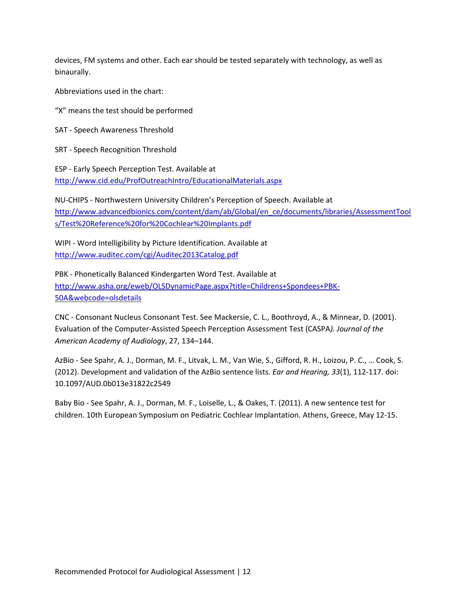devices, FM systems and other. Each ear should be tested separately with technology, as well as binaurally.

Abbreviations used in the chart:

"X" means the test should be performed

SAT ‐ Speech Awareness Threshold

SRT ‐ Speech Recognition Threshold

ESP ‐ Early Speech Perception Test. Available at http://www.cid.edu/ProfOutreachIntro/EducationalMaterials.aspx

NU‐CHIPS ‐ Northwestern University Children's Perception of Speech. Available at http://www.advancedbionics.com/content/dam/ab/Global/en\_ce/documents/libraries/AssessmentTool s/Test%20Reference%20for%20Cochlear%20Implants.pdf

WIPI ‐ Word Intelligibility by Picture Identification. Available at http://www.auditec.com/cgi/Auditec2013Catalog.pdf

PBK ‐ Phonetically Balanced Kindergarten Word Test. Available at http://www.asha.org/eweb/OLSDynamicPage.aspx?title=Childrens+Spondees+PBK‐ 50A&webcode=olsdetails

CNC ‐ Consonant Nucleus Consonant Test. See Mackersie, C. L., Boothroyd, A., & Minnear, D. (2001). Evaluation of the Computer‐Assisted Speech Perception Assessment Test (CASPA*). Journal of the American Academy of Audiology*, 27, 134–144.

AzBio ‐ See Spahr, A. J., Dorman, M. F., Litvak, L. M., Van Wie, S., Gifford, R. H., Loizou, P. C., … Cook, S. (2012). Development and validation of the AzBio sentence lists. *Ear and Hearing, 33*(1), 112‐117. doi: 10.1097/AUD.0b013e31822c2549

Baby Bio ‐ See Spahr, A. J., Dorman, M. F., Loiselle, L., & Oakes, T. (2011). A new sentence test for children. 10th European Symposium on Pediatric Cochlear Implantation. Athens, Greece, May 12‐15.